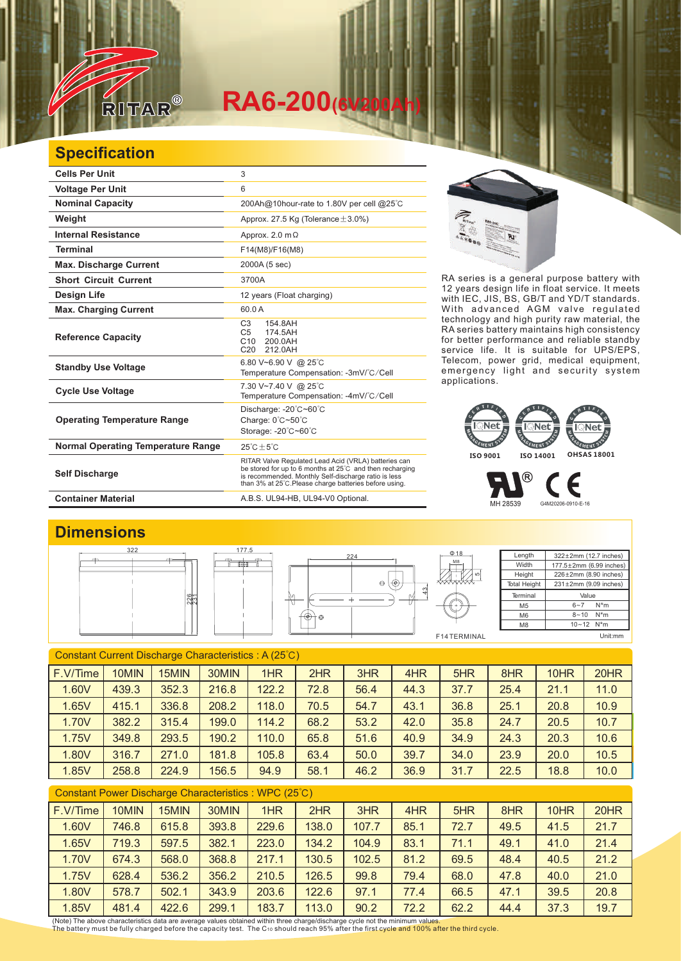

# $RA6-200$ <sup>(6V</sup>)

### **Specification**

| <b>Cells Per Unit</b>                     | 3                                                                                                                                                                                                                                  |
|-------------------------------------------|------------------------------------------------------------------------------------------------------------------------------------------------------------------------------------------------------------------------------------|
| <b>Voltage Per Unit</b>                   | 6                                                                                                                                                                                                                                  |
| <b>Nominal Capacity</b>                   | 200Ah@10hour-rate to 1.80V per cell @25°C                                                                                                                                                                                          |
| Weight                                    | Approx. 27.5 Kg (Tolerance $\pm$ 3.0%)                                                                                                                                                                                             |
| <b>Internal Resistance</b>                | Approx. 2.0 $m\Omega$                                                                                                                                                                                                              |
| <b>Terminal</b>                           | F14(M8)/F16(M8)                                                                                                                                                                                                                    |
| <b>Max. Discharge Current</b>             | 2000A (5 sec)                                                                                                                                                                                                                      |
| <b>Short Circuit Current</b>              | 3700A                                                                                                                                                                                                                              |
| Design Life                               | 12 years (Float charging)                                                                                                                                                                                                          |
| <b>Max. Charging Current</b>              | 60.0 A                                                                                                                                                                                                                             |
| <b>Reference Capacity</b>                 | C <sub>3</sub><br>154.8AH<br>C <sub>5</sub><br>174.5AH<br>C10<br>200.0AH<br>C <sub>20</sub><br>212.0AH                                                                                                                             |
| <b>Standby Use Voltage</b>                | 6.80 V~6.90 V @ 25°C<br>Temperature Compensation: -3mV/°C/Cell                                                                                                                                                                     |
| <b>Cycle Use Voltage</b>                  | 7.30 V~7.40 V @ 25°C<br>Temperature Compensation: -4mV/°C/Cell                                                                                                                                                                     |
| <b>Operating Temperature Range</b>        | Discharge: -20°C~60°C<br>Charge: 0°C~50°C<br>Storage: -20°C~60°C                                                                                                                                                                   |
| <b>Normal Operating Temperature Range</b> | $25^{\circ}$ C + 5 $^{\circ}$ C                                                                                                                                                                                                    |
| <b>Self Discharge</b>                     | RITAR Valve Regulated Lead Acid (VRLA) batteries can<br>be stored for up to 6 months at 25°C and then recharging<br>is recommended. Monthly Self-discharge ratio is less<br>than 3% at 25°C. Please charge batteries before using. |
| <b>Container Material</b>                 | A.B.S. UL94-HB, UL94-V0 Optional.                                                                                                                                                                                                  |



RA series is a general purpose battery with 12 years design life in float service. It meets with IEC, JIS, BS, GB/T and YD/T standards. With advanced AGM valve regulated technology and high purity raw material, the RA series battery maintains high consistency for better performance and reliable standby service life. It is suitable for UPS/EPS, Telecom, power grid, medical equipment, emergency light and security system applications.



MH 28539 G4M20206-0910-E-16

Є

#### **Dimensions**



| Constant Current Discharge Characteristics: A (25°C) |       |       |       |       |      |      |      |      |      |      |      |
|------------------------------------------------------|-------|-------|-------|-------|------|------|------|------|------|------|------|
| F.V/Time                                             | 10MIN | 15MIN | 30MIN | 1HR   | 2HR  | 3HR  | 4HR  | 5HR  | 8HR  | 10HR | 20HR |
| 1.60V                                                | 439.3 | 352.3 | 216.8 | 122.2 | 72.8 | 56.4 | 44.3 | 37.7 | 25.4 | 21.1 | 11.0 |
| 1.65V                                                | 415.1 | 336.8 | 208.2 | 118.0 | 70.5 | 54.7 | 43.1 | 36.8 | 25.1 | 20.8 | 10.9 |
| 1.70V                                                | 382.2 | 315.4 | 199.0 | 114.2 | 68.2 | 53.2 | 42.0 | 35.8 | 24.7 | 20.5 | 10.7 |
| 1.75V                                                | 349.8 | 293.5 | 190.2 | 110.0 | 65.8 | 51.6 | 40.9 | 34.9 | 24.3 | 20.3 | 10.6 |
| 1.80V                                                | 316.7 | 271.0 | 181.8 | 105.8 | 63.4 | 50.0 | 39.7 | 34.0 | 23.9 | 20.0 | 10.5 |
| 1.85V                                                | 258.8 | 224.9 | 156.5 | 94.9  | 58.1 | 46.2 | 36.9 | 31.7 | 22.5 | 18.8 | 10.0 |
|                                                      |       |       |       |       |      |      |      |      |      |      |      |

#### Constant Power Discharge Characteristics : WPC (25℃)

| F.V/Time | 10MIN | 15MIN | 30MIN | 1HR   | 2HR   | 3HR   | 4HR  | 5HR  | 8HR  | 10HR | 20HR |
|----------|-------|-------|-------|-------|-------|-------|------|------|------|------|------|
| 1.60V    | 746.8 | 615.8 | 393.8 | 229.6 | 138.0 | 107.7 | 85.1 | 72.7 | 49.5 | 41.5 | 21.7 |
| 1.65V    | 719.3 | 597.5 | 382.1 | 223.0 | 134.2 | 104.9 | 83.1 | 71.1 | 49.1 | 41.0 | 21.4 |
| 1.70V    | 674.3 | 568.0 | 368.8 | 217.1 | 130.5 | 102.5 | 81.2 | 69.5 | 48.4 | 40.5 | 21.2 |
| 1.75V    | 628.4 | 536.2 | 356.2 | 210.5 | 126.5 | 99.8  | 79.4 | 68.0 | 47.8 | 40.0 | 21.0 |
| 1.80V    | 578.7 | 502.1 | 343.9 | 203.6 | 122.6 | 97.1  | 77.4 | 66.5 | 47.1 | 39.5 | 20.8 |
| 1.85V    | 481.4 | 422.6 | 299.1 | 183.7 | 113.0 | 90.2  | 72.2 | 62.2 | 44.4 | 37.3 | 19.7 |

(Note) The above characteristics data are average values obtained within three charge/discharge cycle not the minimum values.<br>The battery must be fully charged before the capacity test. The C10 should reach 95% after the